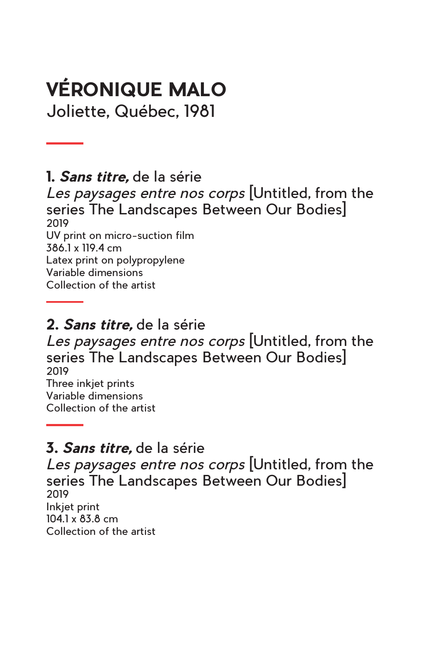# **VÉRONIQUE MALO**

Joliette, Québec, 1981

**1.** *Sans titre,* de la série

*Les paysages entre nos corps* [Untitled, from the series The Landscapes Between Our Bodies] 2019 UV print on micro-suction film 386.1 x 119.4 cm Latex print on polypropylene Variable dimensions Collection of the artist

#### **2.** *Sans titre,* de la série

*Les paysages entre nos corps* [Untitled, from the series The Landscapes Between Our Bodies] 2019 Three inkjet prints Variable dimensions Collection of the artist

#### **3.** *Sans titre,* de la série

*Les paysages entre nos corps* [Untitled, from the series The Landscapes Between Our Bodies] 2019 Inkjet print 104.1 x 83.8 cm Collection of the artist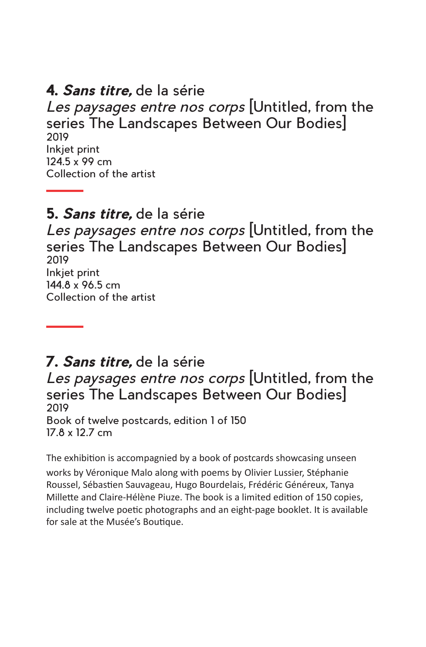#### **4.** *Sans titre,* de la série

*Les paysages entre nos corps* [Untitled, from the series The Landscapes Between Our Bodies] 2019 Inkjet print 124.5 x 99 cm Collection of the artist

#### **5.** *Sans titre,* de la série

*Les paysages entre nos corps* [Untitled, from the series The Landscapes Between Our Bodies] 2019 Inkjet print 144.8 x 96.5 cm Collection of the artist

#### **7.** *Sans titre,* de la série

*Les paysages entre nos corps* [Untitled, from the series The Landscapes Between Our Bodies] 2019 Book of twelve postcards, edition 1 of 150 17.8 x 12.7 cm

The exhibition is accompagnied by a book of postcards showcasing unseen works by Véronique Malo along with poems by Olivier Lussier, Stéphanie Roussel, Sébastien Sauvageau, Hugo Bourdelais, Frédéric Généreux, Tanya Millette and Claire-Hélène Piuze. The book is a limited edition of 150 copies, including twelve poetic photographs and an eight-page booklet. It is available for sale at the Musée's Boutique.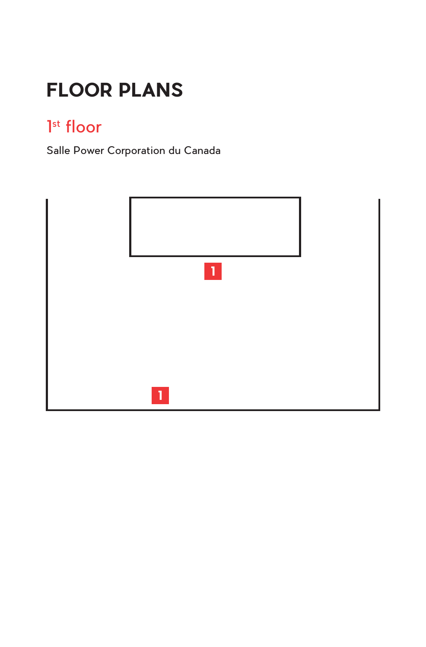# **FLOOR PLANS**

### 1<sup>st</sup> floor

Salle Power Corporation du Canada